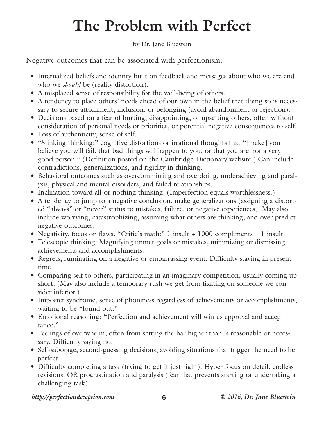## **The Problem with Perfect**

## by Dr. Jane Bluestein

Negative outcomes that can be associated with perfectionism:

- Internalized beliefs and identity built on feedback and messages about who we are and who we *should* be (reality distortion).
- A misplaced sense of responsibility for the well-being of others.
- A tendency to place others' needs ahead of our own in the belief that doing so is necessary to secure attachment, inclusion, or belonging (avoid abandonment or rejection).
- Decisions based on a fear of hurting, disappointing, or upsetting others, often without consideration of personal needs or priorities, or potential negative consequences to self.
- Loss of authenticity, sense of self.
- "Stinking thinking:" cognitive distortions or irrational thoughts that "[make] vou believe you will fail, that bad things will happen to you, or that you are not a very good person." (Definition posted on the Cambridge Dictionary website.) Can include contradictions, generalizations, and rigidity in thinking.
- Behavioral outcomes such as overcommitting and overdoing, underachieving and paralysis, physical and mental disorders, and failed relationships.
- Inclination toward all-or-nothing thinking. (Imperfection equals worthlessness.)
- A tendency to jump to a negative conclusion, make generalizations (assigning a distorted "always" or "never" status to mistakes, failure, or negative experiences). May also include worrying, catastrophizing, assuming what others are thinking, and over-predict negative outcomes.
- Negativity, focus on flaws. "Critic's math:" 1 insult + 1000 compliments = 1 insult.
- Telescopic thinking: Magnifying unmet goals or mistakes, minimizing or dismissing achievements and accomplishments.
- Regrets, ruminating on a negative or embarrassing event. Difficulty staying in present time.
- Comparing self to others, participating in an imaginary competition, usually coming up short. (May also include a temporary rush we get from fixating on someone we consider inferior.)
- Imposter syndrome, sense of phoniness regardless of achievements or accomplishments, waiting to be "found out."
- Emotional reasoning: "Perfection and achievement will win us approval and acceptance."
- Feelings of overwhelm, often from setting the bar higher than is reasonable or necessary. Difficulty saying no.
- Self-sabotage, second-guessing decisions, avoiding situations that trigger the need to be perfect.
- Difficulty completing a task (trying to get it just right). Hyper-focus on detail, endless revisions. OR procrastination and paralysis (fear that prevents starting or undertaking a challenging task).

## *http://perfectiondeception.com* **6** *© 2016, Dr. Jane Bluestein*